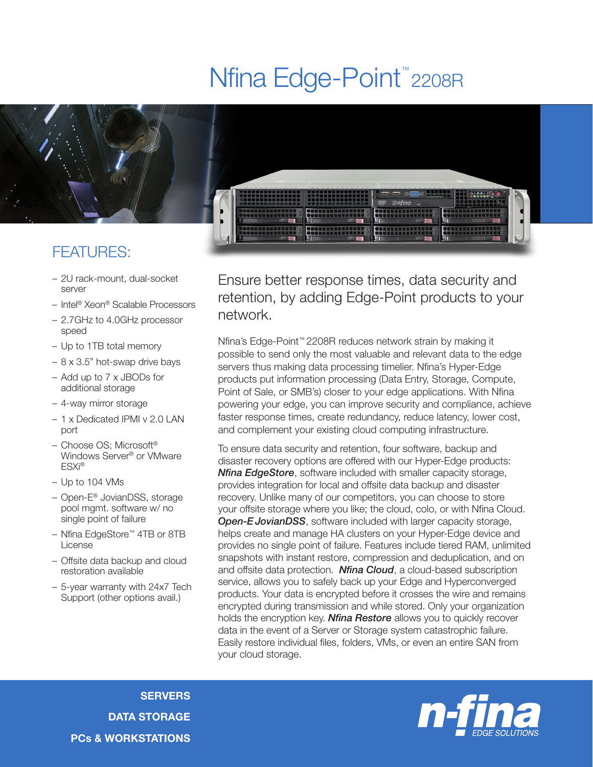## Nfina Edge-Point<sup>™</sup>2208R



– 2U rack-mount, dual-socket server

- Intel® Xeon® Scalable Processors
- 2.7GHz to 4.0GHz processor speed
- Up to 1TB total memory
- 8 x 3.5" hot-swap drive bays
- Add up to 7 x JBODs for additional storage
- 4-way mirror storage
- 1 x Dedicated IPMI v 2.0 LAN port
- Choose OS; Microsoft® Windows Server® or VMware ESXi®
- Up to 104 VMs
- Open-E® JovianDSS, storage pool mgmt. software w/ no single point of failure
- Nfina EdgeStore™ 4TB or 8TB License
- Offsite data backup and cloud restoration available
- 5-year warranty with 24x7 Tech Support (other options avail.)

Ensure better response times, data security and retention, by adding Edge-Point products to your network.

Nfina's Edge-Point™ 2208R reduces network strain by making it possible to send only the most valuable and relevant data to the edge servers thus making data processing timelier. Nfina's Hyper-Edge products put information processing (Data Entry, Storage, Compute, Point of Sale, or SMB's) closer to your edge applications. With Nfina powering your edge, you can improve security and compliance, achieve faster response times, create redundancy, reduce latency, lower cost, and complement your existing cloud computing infrastructure.

To ensure data security and retention, four software, backup and disaster recovery options are offered with our Hyper-Edge products: *Nfina EdgeStore*, software included with smaller capacity storage, provides integration for local and offsite data backup and disaster recovery. Unlike many of our competitors, you can choose to store your offsite storage where you like; the cloud, colo, or with Nfina Cloud. **Open-E JovianDSS**, software included with larger capacity storage, helps create and manage HA clusters on your Hyper-Edge device and provides no single point of failure. Features include tiered RAM, unlimited snapshots with instant restore, compression and deduplication, and on and offsite data protection. *Nfina Cloud*, a cloud-based subscription service, allows you to safely back up your Edge and Hyperconverged products. Your data is encrypted before it crosses the wire and remains encrypted during transmission and while stored. Only your organization holds the encryption key. *Nfina Restore* allows you to quickly recover data in the event of a Server or Storage system catastrophic failure. Easily restore individual files, folders, VMs, or even an entire SAN from your cloud storage.

**SERVERS** DATA STORAGE PCs & WORKSTATIONS

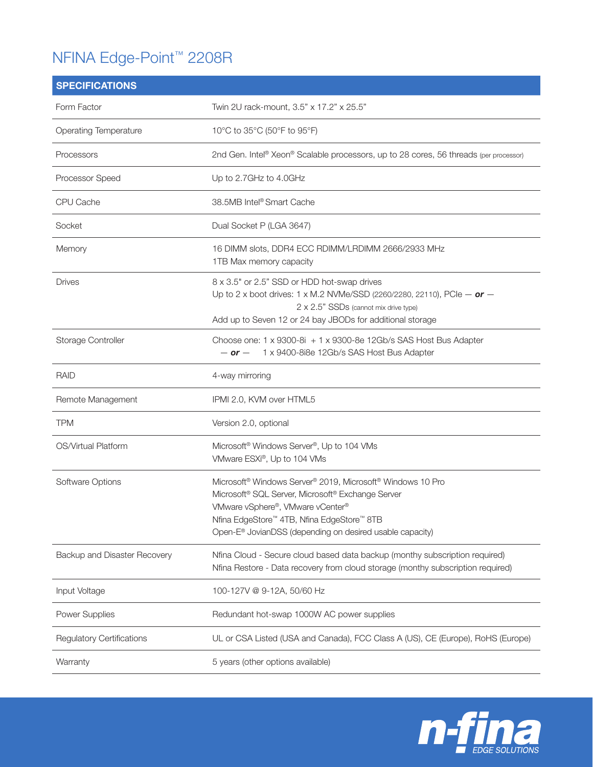## NFINA Edge-Point™ 2208R

| <b>SPECIFICATIONS</b>            |                                                                                                                                                                                                                                                                                                                                       |
|----------------------------------|---------------------------------------------------------------------------------------------------------------------------------------------------------------------------------------------------------------------------------------------------------------------------------------------------------------------------------------|
| Form Factor                      | Twin 2U rack-mount, 3.5" x 17.2" x 25.5"                                                                                                                                                                                                                                                                                              |
| <b>Operating Temperature</b>     | 10°C to 35°C (50°F to 95°F)                                                                                                                                                                                                                                                                                                           |
| Processors                       | 2nd Gen. Intel® Xeon® Scalable processors, up to 28 cores, 56 threads (per processor)                                                                                                                                                                                                                                                 |
| Processor Speed                  | Up to 2.7GHz to 4.0GHz                                                                                                                                                                                                                                                                                                                |
| CPU Cache                        | 38.5MB Intel® Smart Cache                                                                                                                                                                                                                                                                                                             |
| Socket                           | Dual Socket P (LGA 3647)                                                                                                                                                                                                                                                                                                              |
| Memory                           | 16 DIMM slots, DDR4 ECC RDIMM/LRDIMM 2666/2933 MHz<br>1TB Max memory capacity                                                                                                                                                                                                                                                         |
| <b>Drives</b>                    | 8 x 3.5" or 2.5" SSD or HDD hot-swap drives<br>Up to 2 x boot drives: 1 x M.2 NVMe/SSD (2260/2280, 22110), PCIe $-$ or $-$<br>2 x 2.5" SSDs (cannot mix drive type)<br>Add up to Seven 12 or 24 bay JBODs for additional storage                                                                                                      |
| Storage Controller               | Choose one: 1 x 9300-8i + 1 x 9300-8e 12Gb/s SAS Host Bus Adapter<br>1 x 9400-8i8e 12Gb/s SAS Host Bus Adapter<br>$-$ or $-$                                                                                                                                                                                                          |
| <b>RAID</b>                      | 4-way mirroring                                                                                                                                                                                                                                                                                                                       |
| Remote Management                | IPMI 2.0, KVM over HTML5                                                                                                                                                                                                                                                                                                              |
| <b>TPM</b>                       | Version 2.0, optional                                                                                                                                                                                                                                                                                                                 |
| OS/Virtual Platform              | Microsoft <sup>®</sup> Windows Server <sup>®</sup> , Up to 104 VMs<br>VMware ESXi®, Up to 104 VMs                                                                                                                                                                                                                                     |
| Software Options                 | Microsoft <sup>®</sup> Windows Server <sup>®</sup> 2019, Microsoft <sup>®</sup> Windows 10 Pro<br>Microsoft <sup>®</sup> SQL Server, Microsoft <sup>®</sup> Exchange Server<br>VMware vSphere®, VMware vCenter®<br>Nfina EdgeStore™ 4TB, Nfina EdgeStore™ 8TB<br>Open-E <sup>®</sup> JovianDSS (depending on desired usable capacity) |
| Backup and Disaster Recovery     | Nfina Cloud - Secure cloud based data backup (monthy subscription required)<br>Nfina Restore - Data recovery from cloud storage (monthy subscription required)                                                                                                                                                                        |
| Input Voltage                    | 100-127V @ 9-12A, 50/60 Hz                                                                                                                                                                                                                                                                                                            |
| Power Supplies                   | Redundant hot-swap 1000W AC power supplies                                                                                                                                                                                                                                                                                            |
| <b>Regulatory Certifications</b> | UL or CSA Listed (USA and Canada), FCC Class A (US), CE (Europe), RoHS (Europe)                                                                                                                                                                                                                                                       |
| Warranty                         | 5 years (other options available)                                                                                                                                                                                                                                                                                                     |